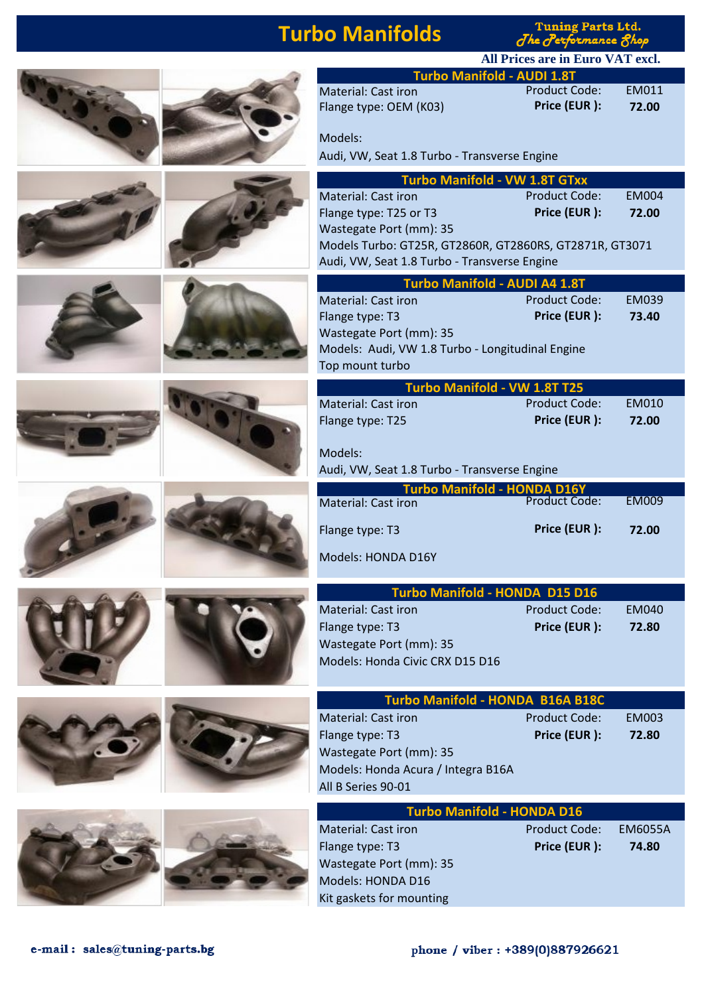# **Turbo Manifolds**

Tuning Parts Ltd.<br>The Performance 8hop

|                                                                                    | All Prices are in Euro VAT excl.     |                       |
|------------------------------------------------------------------------------------|--------------------------------------|-----------------------|
| <b>Turbo Manifold - AUDI 1.8T</b>                                                  |                                      |                       |
| Material: Cast iron<br>Flange type: OEM (K03)                                      | <b>Product Code:</b><br>Price (EUR): | EM011<br>72.00        |
| Models:                                                                            |                                      |                       |
| Audi, VW, Seat 1.8 Turbo - Transverse Engine                                       |                                      |                       |
| <b>Turbo Manifold - VW 1.8T GTxx</b>                                               |                                      |                       |
| <b>Material: Cast iron</b>                                                         | <b>Product Code:</b>                 | <b>EM004</b>          |
| Flange type: T25 or T3                                                             | Price (EUR):                         | 72.00                 |
| Wastegate Port (mm): 35<br>Models Turbo: GT25R, GT2860R, GT2860RS, GT2871R, GT3071 |                                      |                       |
| Audi, VW, Seat 1.8 Turbo - Transverse Engine                                       |                                      |                       |
| Turbo Manifold - AUDI A4 1.8T                                                      |                                      |                       |
| Material: Cast iron                                                                | <b>Product Code:</b>                 | <b>EM039</b>          |
| Flange type: T3                                                                    | Price (EUR):                         | 73.40                 |
| Wastegate Port (mm): 35                                                            |                                      |                       |
| Models: Audi, VW 1.8 Turbo - Longitudinal Engine                                   |                                      |                       |
| Top mount turbo                                                                    |                                      |                       |
| Turbo Manifold - VW 1.8T T25<br>Material: Cast iron                                | <b>Product Code:</b>                 | <b>EM010</b>          |
| Flange type: T25                                                                   | Price (EUR):                         | 72.00                 |
|                                                                                    |                                      |                       |
| Models:                                                                            |                                      |                       |
| Audi, VW, Seat 1.8 Turbo - Transverse Engine                                       |                                      |                       |
| <b>Turbo Manifold - HONDA D16Y</b><br><b>Material: Cast iron</b>                   | <b>Product Code:</b>                 | <b>EM009</b>          |
|                                                                                    |                                      |                       |
| Flange type: T3                                                                    | Price (EUR):                         | 72.00                 |
| Models: HONDA D16Y                                                                 |                                      |                       |
|                                                                                    |                                      |                       |
| <b>Turbo Manifold - HONDA D15 D16</b>                                              |                                      |                       |
| <b>Material: Cast iron</b>                                                         | <b>Product Code:</b><br>Price (EUR): | <b>EM040</b><br>72.80 |
| Flange type: T3<br>Wastegate Port (mm): 35                                         |                                      |                       |
| Models: Honda Civic CRX D15 D16                                                    |                                      |                       |
|                                                                                    |                                      |                       |
| Turbo Manifold - HONDA B16A B18C                                                   |                                      |                       |
| Material: Cast iron                                                                | <b>Product Code:</b>                 | <b>EM003</b>          |
| Flange type: T3                                                                    | Price (EUR):                         | 72.80                 |
| Wastegate Port (mm): 35                                                            |                                      |                       |
| Models: Honda Acura / Integra B16A                                                 |                                      |                       |
| All B Series 90-01                                                                 |                                      |                       |
| <b>Turbo Manifold - HONDA D16</b>                                                  |                                      |                       |
| <b>Material: Cast iron</b>                                                         | <b>Product Code:</b>                 | <b>EM6055A</b>        |
| Flange type: T3                                                                    | Price (EUR):                         | 74.80                 |
| Wastegate Port (mm): 35                                                            |                                      |                       |
| Models: HONDA D16<br>Kit gaskets for mounting                                      |                                      |                       |
|                                                                                    |                                      |                       |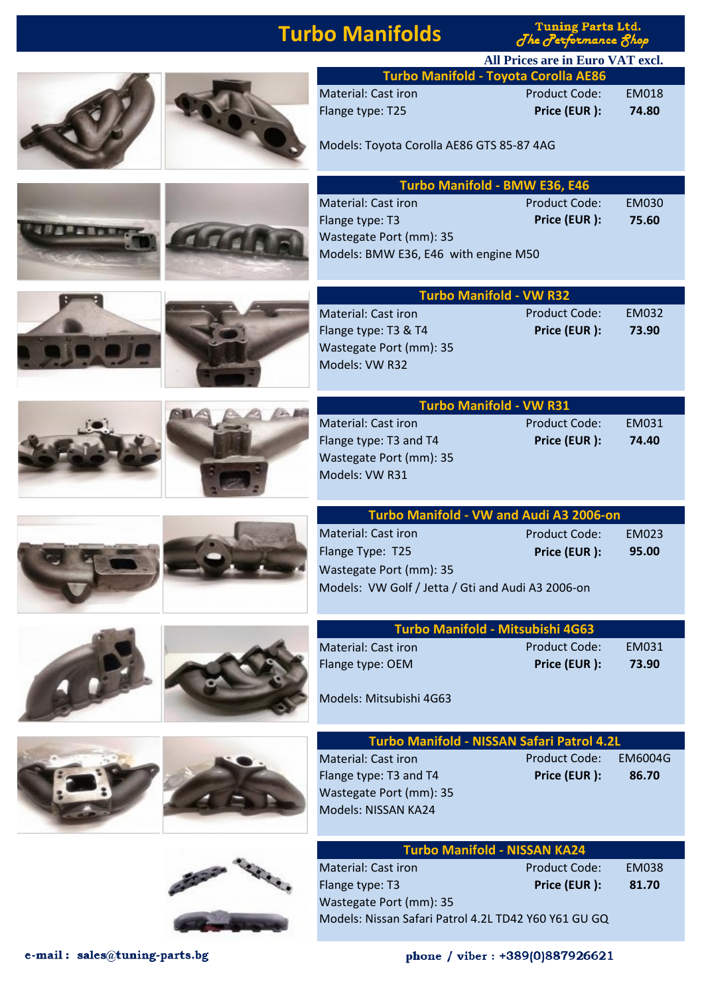## **Turbo Manifolds**

Tuning Parts Ltd.

| <u>a inimilii aina</u>                                                                                                           | <i><b>One O experience Onop</b></i>                                                 |                         |
|----------------------------------------------------------------------------------------------------------------------------------|-------------------------------------------------------------------------------------|-------------------------|
|                                                                                                                                  | All Prices are in Euro VAT excl.                                                    |                         |
| <b>Material: Cast iron</b><br>Flange type: T25<br>Models: Toyota Corolla AE86 GTS 85-87 4AG                                      | <b>Turbo Manifold - Toyota Corolla AE86</b><br><b>Product Code:</b><br>Price (EUR): | <b>EM018</b><br>74.80   |
| <b>Material: Cast iron</b><br>Flange type: T3<br>Wastegate Port (mm): 35<br>Models: BMW E36, E46 with engine M50                 | <b>Turbo Manifold - BMW E36, E46</b><br><b>Product Code:</b><br>Price (EUR):        | <b>EM030</b><br>75.60   |
| Material: Cast iron<br>Flange type: T3 & T4<br>Wastegate Port (mm): 35<br>Models: VW R32                                         | <b>Turbo Manifold - VW R32</b><br><b>Product Code:</b><br>Price (EUR):              | <b>EM032</b><br>73.90   |
| <b>Material: Cast iron</b><br>Flange type: T3 and T4<br>Wastegate Port (mm): 35<br>Models: VW R31                                | <b>Turbo Manifold - VW R31</b><br><b>Product Code:</b><br>Price (EUR):              | EM031<br>74.40          |
| <b>Material: Cast iron</b><br>Flange Type: T25<br>Wastegate Port (mm): 35<br>Models: VW Golf / Jetta / Gti and Audi A3 2006-on   | Turbo Manifold - VW and Audi A3 2006-on<br><b>Product Code:</b><br>Price (EUR):     | <b>EM023</b><br>95.00   |
| <b>Material: Cast iron</b><br>Flange type: OEM<br>Models: Mitsubishi 4G63                                                        | Turbo Manifold - Mitsubishi 4G63<br><b>Product Code:</b><br>Price (EUR):            | EM031<br>73.90          |
| <b>Material: Cast iron</b><br>Flange type: T3 and T4<br>Wastegate Port (mm): 35<br>Models: NISSAN KA24                           | Turbo Manifold - NISSAN Safari Patrol 4.2L<br><b>Product Code:</b><br>Price (EUR):  | <b>EM6004G</b><br>86.70 |
| <b>Material: Cast iron</b><br>Flange type: T3<br>Wastegate Port (mm): 35<br>Models: Nissan Safari Patrol 4.2L TD42 Y60 Y61 GU GQ | <b>Turbo Manifold - NISSAN KA24</b><br><b>Product Code:</b><br>Price (EUR):         | <b>EM038</b><br>81.70   |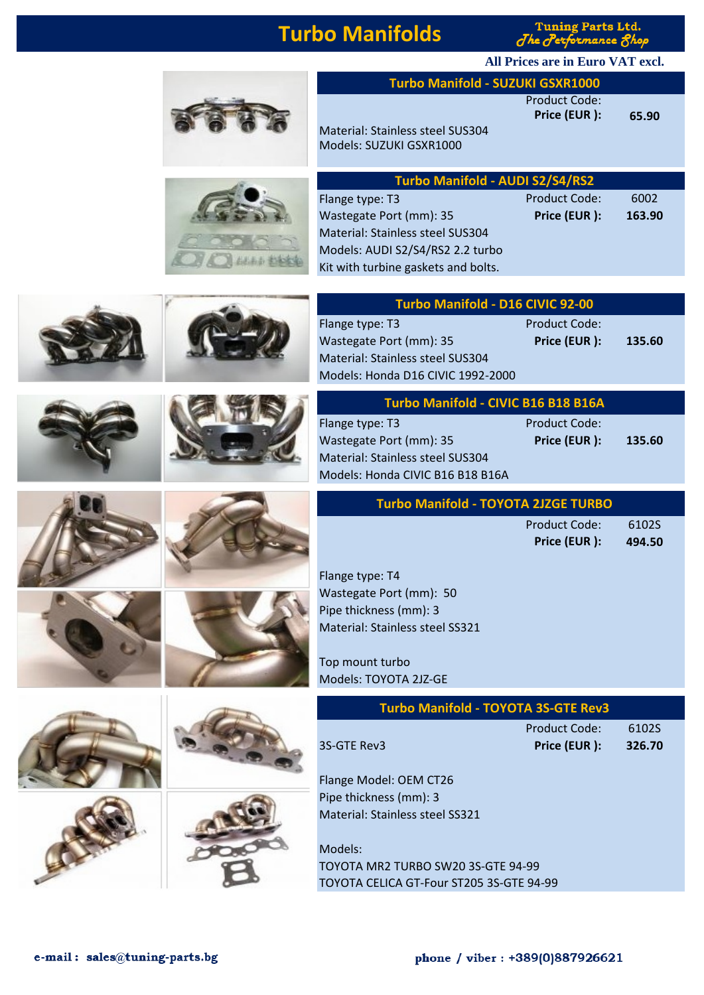### **Turbo Manifolds**

**Tuning Parts Ltd**  $\int$ he  $\int$ en

**All Prices are in Euro VAT excl.**

Product Code:

| <b>Turbo Manifold -</b>                                                                                                                                                        |
|--------------------------------------------------------------------------------------------------------------------------------------------------------------------------------|
| <b>Material: Stainless steel SUS304</b><br>Models: SUZUKI GSXR1000                                                                                                             |
| <b>Turbo Manifold</b><br>Flange type: T3<br>Wastegate Port (mm): 35<br>Material: Stainless steel SUS304<br>Models: AUDI S2/S4/RS2 2.2 tur<br>Kit with turbine gaskets and bol- |
| <b>Turbo Manifold</b>                                                                                                                                                          |
| Flange type: T3<br>Wastegate Port (mm): 35<br>Material: Stainless steel SUS304<br>Models: Honda D16 CIVIC 1992-                                                                |
| <b>Turbo Manifold -</b>                                                                                                                                                        |
| Flange type: T3<br>Wastegate Port (mm): 35<br><b>Material: Stainless steel SUS304</b><br>Models: Honda CIVIC B16 B18 B                                                         |
| <b>Turbo Manifold - T</b>                                                                                                                                                      |

**The Committee of the Committee** 















|                     | Price (EUR ): | 65.90 |
|---------------------|---------------|-------|
| inless steel SUS304 |               |       |
| JKI GSXR1000        |               |       |

**Manifold - SUZUKI GSXR1000** 

| <b>Turbo Manifold - AUDI S2/S4/RS2</b> |               |        |  |  |
|----------------------------------------|---------------|--------|--|--|
| Flange type: T3                        | Product Code: | 6002   |  |  |
| Wastegate Port (mm): 35                | Price (EUR):  | 163.90 |  |  |
| Material: Stainless steel SUS304       |               |        |  |  |
| Models: AUDI S2/S4/RS2 2.2 turbo       |               |        |  |  |
| Kit with turbine gaskets and bolts.    |               |        |  |  |

| Turbo Manifold - D16 CIVIC 92-00  |                      |        |  |  |
|-----------------------------------|----------------------|--------|--|--|
| Flange type: T3                   | <b>Product Code:</b> |        |  |  |
| Wastegate Port (mm): 35           | Price (EUR):         | 135.60 |  |  |
| Material: Stainless steel SUS304  |                      |        |  |  |
| Models: Honda D16 CIVIC 1992-2000 |                      |        |  |  |

| Turbo Manifold - CIVIC B16 B18 B16A |  |  |  |
|-------------------------------------|--|--|--|
|-------------------------------------|--|--|--|

teel SUS304 C B16 B18 B16A

Product Code: Wastegate Port (mm): 35 **Price (EUR ): 135.60**

| <b>Turbo Manifold - TOYOTA 2JZGE TURBO</b> |  |
|--------------------------------------------|--|

Product Code: 6102S **Price (EUR ): 494.50**

Flange type: T4 Wastegate Port (mm): 50 Pipe thickness (mm): 3 Material: Stainless steel SS321

Top mount turbo Models: TOYOTA 2JZ-GE

| <b>Turbo Manifold - TOYOTA 3S-GTE Rev3</b> |                      |        |  |
|--------------------------------------------|----------------------|--------|--|
|                                            | <b>Product Code:</b> | 61025  |  |
| 3S-GTE Rev3                                | Price (EUR):         | 326.70 |  |

Flange Model: OEM CT26 Pipe thickness (mm): 3 Material: Stainless steel SS321

Models: TOYOTA MR2 TURBO SW20 3S-GTE 94-99 TOYOTA CELICA GT-Four ST205 3S-GTE 94-99